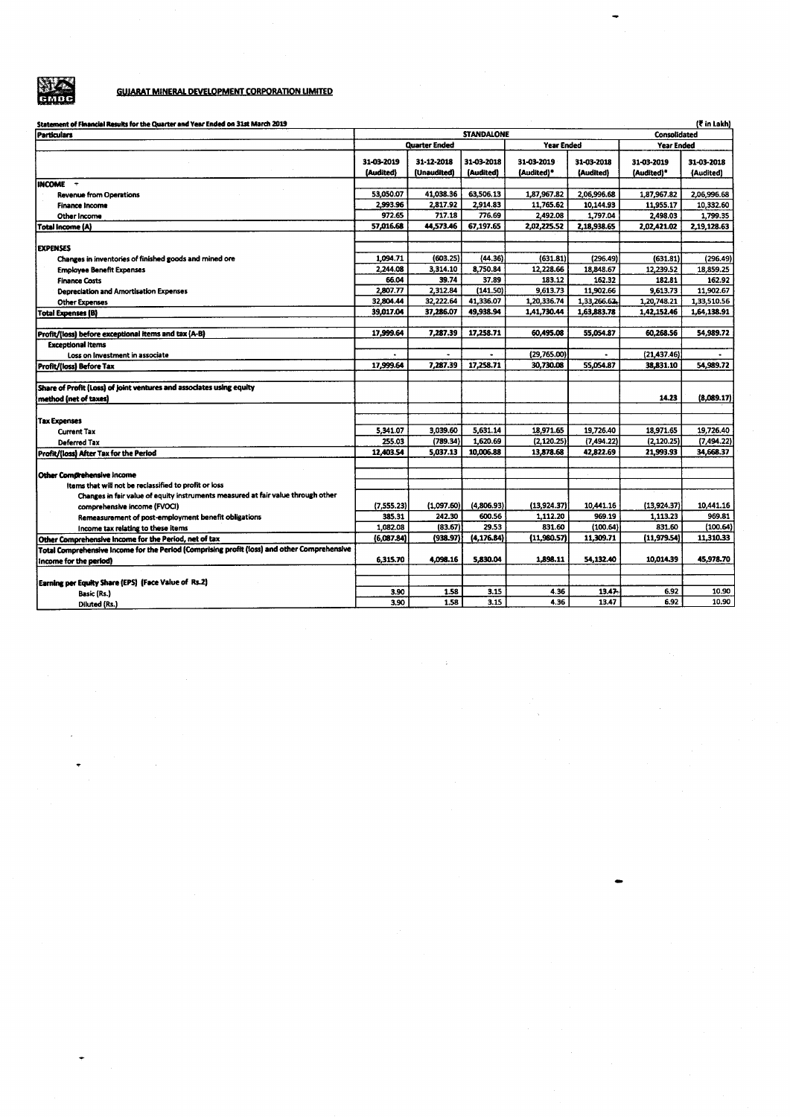

 $\ddot{\phantom{0}}$ 

# **GUIARAT MINERAL DEVELOPMENT CORPORATION LIMITED**

| Statement of Financial Results for the Quarter and Year Ended on 31st March 2019            |               |                   |             |             |                   |                           | (₹ in Lakh) |
|---------------------------------------------------------------------------------------------|---------------|-------------------|-------------|-------------|-------------------|---------------------------|-------------|
| <b>Particulars</b>                                                                          |               | <b>STANDALONE</b> |             |             |                   | Consolidated              |             |
|                                                                                             | Quarter Ended |                   | Year Ended  |             | <b>Year Ended</b> |                           |             |
|                                                                                             | 31-03-2019    | 31-12-2018        | 31-03-2018  | 31-03-2019  | 31-03-2018        | 31-03-2019                | 31-03-2018  |
|                                                                                             | (Audited)     | (Unaudited)       | (Audited)   | {Audited}*  | (Audited)         | (Audited)*                | (Audited)   |
| INCOME -                                                                                    |               |                   |             |             |                   |                           |             |
| <b>Revenue from Operations</b>                                                              | 53.050.07     | 41,038.36         | 63.506.13   | 1,87,967.82 | 2,06,996.68       | 1,87,967.82               | 2,06,996.68 |
| <b>Finance Income</b>                                                                       | 2,993.96      | 2.817.92          | 2,914.83    | 11,765.62   | 10,144.93         | 11,955.17                 | 10,332.60   |
| Other Income                                                                                | 972.65        | 717.18            | 776.69      | 2,492.08    | 1,797.04          | 2,498.03                  | 1,799.35    |
| <b>Total Income (A)</b>                                                                     | 57,016.68     | 44,573.46         | 67,197.65   | 2,02,225.52 | 2,18,938.65       | 2.02.421.02               | 2.19.128.63 |
|                                                                                             |               |                   |             |             |                   |                           |             |
| <b>EXPENSES</b>                                                                             |               |                   |             |             |                   |                           |             |
| Changes in inventories of finished goods and mined ore                                      | 1.094.71      | (603.25)          | (44.36)     | (631.81)    | (296.49)          | (631.81)                  | (296.49)    |
| <b>Employee Benefit Expenses</b>                                                            | 2,244.08      | 3,314.10          | 8,750.84    | 12,228.66   | 18,848.67         | 12,239.52                 | 18,859.25   |
| <b>Finance Costs</b>                                                                        | 66.04         | 39.74             | 37.89       | 183.12      | 162.32            | 182.81                    | 162.92      |
| Depreciation and Amortisation Expenses                                                      | 2,807.77      | 2,312.84          | (141.50)    | 9,613.73    | 11,902.66         | 9,613.73                  | 11,902.67   |
| <b>Other Expenses</b>                                                                       | 32.804.44     | 32,222.64         | 41,336.07   | 1,20,336.74 | 1.33.266.62.      | 1,20,748.21               | 1,33,510.56 |
| <b>Total Expenses (B)</b>                                                                   | 39,017.04     | 37,286.07         | 49,938.94   | 1,41,730.44 | 1,63,883.78       | 1,42,152.46               | 1,64,138.91 |
|                                                                                             |               |                   |             |             |                   |                           |             |
| Profit/(loss) before exceptional items and tax (A-B)                                        | 17.999.64     | 7.287.39          | 17,258.71   | 60,495.08   | 55,054.87         | 60.268.56                 | 54,989.72   |
| <b>Exceptional Items</b>                                                                    |               |                   |             | (29.765.00) |                   |                           |             |
| Loss on Investment in associate                                                             | 17,999.64     | 7,287.39          | 17,258.71   | 30,730.08   | 55,054.87         | (21, 437.46)<br>38.831.10 | 54,989.72   |
| Profit/(loss) Before Tax                                                                    |               |                   |             |             |                   |                           |             |
| Share of Profit (Loss) of joint ventures and associates using equity                        |               |                   |             |             |                   |                           |             |
| method (net of taxes)                                                                       |               |                   |             |             |                   | 14.23                     | (8,089.17)  |
|                                                                                             |               |                   |             |             |                   |                           |             |
| <b>Tax Expenses</b>                                                                         |               |                   |             |             |                   |                           |             |
| <b>Current Tax</b>                                                                          | 5.341.07      | 3,039.60          | 5,631.14    | 18,971.65   | 19,726.40         | 18.971.65                 | 19,726.40   |
| Deferred Tax                                                                                | 255.03        | (789.34)          | 1.620.69    | (2.120.25)  | (7.494.22)        | (2.120.25)                | (7, 494.22) |
| Profit/(loss) After Tax for the Period                                                      | 12,403.54     | 5.037.13          | 10,006.88   | 13,878.68   | 42,822.69         | 21,993.93                 | 34,668.37   |
|                                                                                             |               |                   |             |             |                   |                           |             |
| Other Comprehensive Income                                                                  |               |                   |             |             |                   |                           |             |
| items that will not be reclassified to profit or loss                                       |               |                   |             |             |                   |                           |             |
| Changes in fair value of equity instruments measured at fair value through other            |               |                   |             |             |                   |                           |             |
| comprehensive income (FVOCI)                                                                | (7,555.23)    | (1.097.60)        | (4,806.93)  | (13,924.37) | 10,441.16         | (13,924.37)               | 10,441.16   |
| Remeasurement of post-employment benefit obligations                                        | 385.31        | 242.30            | 600.56      | 1,112.20    | 969.19            | 1,113.23                  | 969.81      |
| Income tax relating to these items                                                          | 1,082.08      | (83.67)           | 29.53       | 831.60      | (100.64)          | 831.60                    | (100.64)    |
| Other Comprehensive income for the Period, net of tax                                       | (6,087.84)    | (938.97)          | (4, 176.84) | (11,980.57) | 11,309.71         | (11, 979.54)              | 11,310.33   |
| Total Comprehensive Income for the Period (Comprising profit (loss) and other Comprehensive |               |                   |             |             |                   |                           |             |
| Income for the period)                                                                      | 6,315.70      | 4.098.16          | 5,830.04    | 1,898.11    | 54,132.40         | 10,014.39                 | 45,978.70   |
|                                                                                             |               |                   |             |             |                   |                           |             |
| Earning per Equity Share (EPS) (Face Value of Rs.2)                                         |               |                   |             |             |                   |                           |             |
| Basic (Rs.)                                                                                 | 3.90          | 1.58              | 3.15        | 4.36        | 13.47             | 6.92                      | 10.90       |
| Diluted (Rs.)                                                                               | 3.90          | 1.58              | 3.15        | 4.36        | 13.47             | 6.92                      | 10.90       |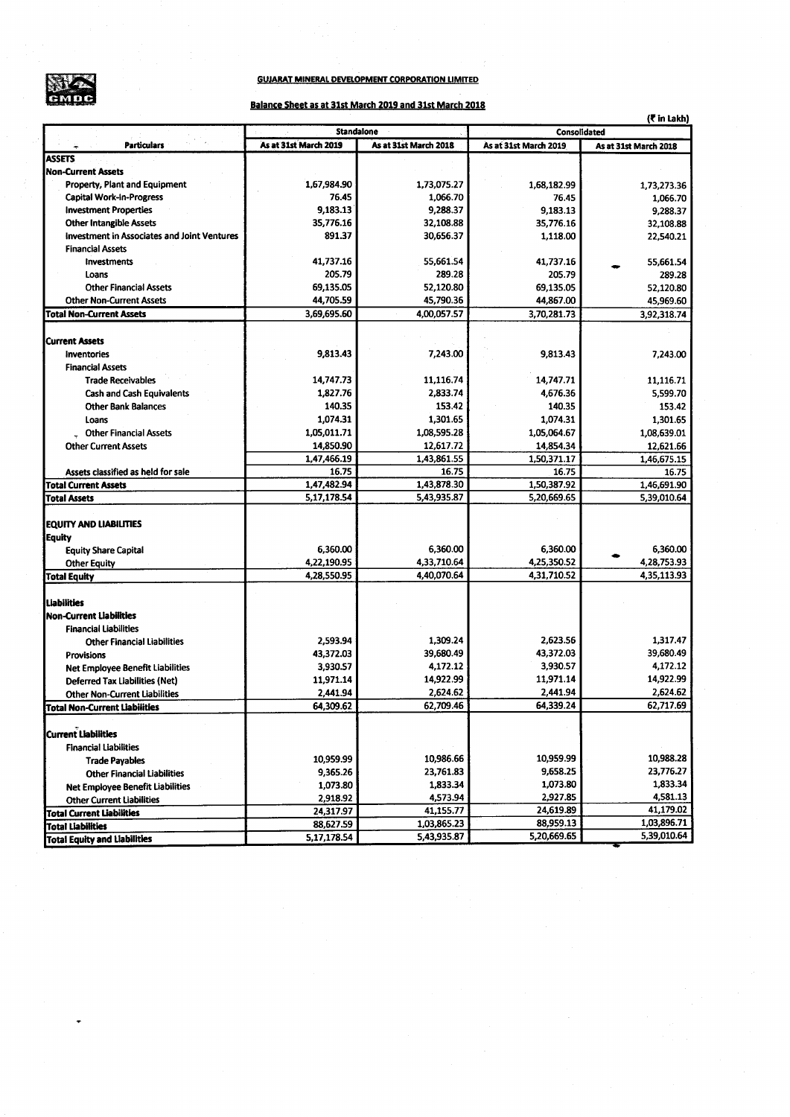

## **GUJARAT MINERAL DEVELOPMENT CORPORATION LIMITED**

## Balance Sheet as at 31st March 2019 and 31st March 2018

|                                             | (₹ in Lakh)           |                       |                       |                       |  |  |  |  |  |  |
|---------------------------------------------|-----------------------|-----------------------|-----------------------|-----------------------|--|--|--|--|--|--|
|                                             | <b>Standalone</b>     |                       | Consolidated          |                       |  |  |  |  |  |  |
| <b>Particulars</b>                          | As at 31st March 2019 | As at 31st March 2018 | As at 31st March 2019 | As at 31st March 2018 |  |  |  |  |  |  |
| <b>ASSETS</b>                               |                       |                       |                       |                       |  |  |  |  |  |  |
| <b>Non-Current Assets</b>                   |                       |                       |                       |                       |  |  |  |  |  |  |
| Property, Plant and Equipment               | 1,67,984.90           | 1,73,075.27           | 1,68,182.99           | 1,73,273.36           |  |  |  |  |  |  |
| <b>Capital Work-In-Progress</b>             | 76.45                 | 1,066.70              | 76.45                 | 1,066.70              |  |  |  |  |  |  |
| <b>Investment Properties</b>                | 9,183.13              | 9,288.37              | 9,183.13              | 9,288.37              |  |  |  |  |  |  |
| <b>Other Intangible Assets</b>              | 35,776.16             | 32,108.88             | 35,776.16             | 32,108.88             |  |  |  |  |  |  |
| Investment in Associates and Joint Ventures | 891.37                | 30,656.37             | 1,118.00              | 22,540.21             |  |  |  |  |  |  |
| <b>Financial Assets</b>                     |                       |                       |                       |                       |  |  |  |  |  |  |
| Investments                                 | 41,737.16             | 55,661.54             | 41,737.16             | 55,661.54             |  |  |  |  |  |  |
| Loans                                       | 205.79                | 289.28                | 205.79                | 289.28                |  |  |  |  |  |  |
| <b>Other Financial Assets</b>               | 69,135.05             | 52,120.80             | 69,135.05             | 52,120.80             |  |  |  |  |  |  |
| <b>Other Non-Current Assets</b>             | 44,705.59             | 45,790.36             | 44,867.00             | 45,969.60             |  |  |  |  |  |  |
| <b>Total Non-Current Assets</b>             | 3,69,695.60           | 4,00,057.57           | 3,70,281.73           | 3,92,318.74           |  |  |  |  |  |  |
| <b>Current Assets</b>                       |                       |                       |                       |                       |  |  |  |  |  |  |
| Inventories                                 | 9,813.43              | 7,243.00              | 9,813.43              | 7,243.00              |  |  |  |  |  |  |
| <b>Financial Assets</b>                     |                       |                       |                       |                       |  |  |  |  |  |  |
| <b>Trade Receivables</b>                    | 14,747.73             | 11,116.74             | 14,747.71             | 11,116.71             |  |  |  |  |  |  |
| <b>Cash and Cash Equivalents</b>            | 1,827.76              | 2,833.74              | 4,676.36              | 5,599.70              |  |  |  |  |  |  |
| <b>Other Bank Balances</b>                  | 140.35                | 153.42                | 140.35                | 153.42                |  |  |  |  |  |  |
|                                             |                       |                       |                       |                       |  |  |  |  |  |  |
| Loans                                       | 1,074.31              | 1,301.65              | 1,074.31              | 1,301.65              |  |  |  |  |  |  |
| <b>Other Financial Assets</b>               | 1,05,011.71           | 1,08,595.28           | 1,05,064.67           | 1,08,639.01           |  |  |  |  |  |  |
| <b>Other Current Assets</b>                 | 14,850.90             | 12,617.72             | 14,854.34             | 12,621.66             |  |  |  |  |  |  |
|                                             | 1,47,466.19           | 1.43,861.55           | 1,50,371.17           | 1,46,675.15           |  |  |  |  |  |  |
| Assets classified as held for sale          | 16.75                 | 16.75                 | 16.75                 | 16.75                 |  |  |  |  |  |  |
| <b>Total Current Assets</b>                 | 1,47,482.94           | 1,43,878.30           | 1,50,387.92           | 1,46,691.90           |  |  |  |  |  |  |
| <b>Total Assets</b>                         | 5,17,178.54           | 5,43,935.87           | 5,20,669.65           | 5,39,010.64           |  |  |  |  |  |  |
| EQUITY AND LIABILITIES                      |                       |                       |                       |                       |  |  |  |  |  |  |
| Equity                                      |                       |                       |                       |                       |  |  |  |  |  |  |
| <b>Equity Share Capital</b>                 | 6,360.00              | 6,360.00              | 6,360.00              | 6,360.00              |  |  |  |  |  |  |
| <b>Other Equity</b>                         | 4,22,190.95           | 4,33,710.64           | 4,25,350.52           | 4,28,753.93           |  |  |  |  |  |  |
| <b>Total Equity</b>                         | 4,28,550.95           | 4,40,070.64           | 4,31,710.52           | 4,35,113.93           |  |  |  |  |  |  |
|                                             |                       |                       |                       |                       |  |  |  |  |  |  |
| <b>Liabilities</b>                          |                       |                       |                       |                       |  |  |  |  |  |  |
| <b>Non-Current Liabilities</b>              |                       |                       |                       |                       |  |  |  |  |  |  |
| <b>Financial Liabilities</b>                |                       |                       |                       |                       |  |  |  |  |  |  |
| <b>Other Financial Liabilities</b>          | 2,593.94              | 1,309.24              | 2,623.56              | 1,317.47              |  |  |  |  |  |  |
| Provisions                                  | 43,372.03             | 39,680.49             | 43,372.03             | 39,680.49             |  |  |  |  |  |  |
| Net Employee Benefit Liabilities            | 3,930.57              | 4,172.12              | 3,930.57              | 4,172.12              |  |  |  |  |  |  |
| <b>Deferred Tax Liabilities (Net)</b>       | 11,971.14             | 14,922.99             | 11,971.14             | 14,922.99             |  |  |  |  |  |  |
| <b>Other Non-Current Liabilities</b>        | 2,441.94              | 2,624.62              | 2,441.94              | 2,624.62              |  |  |  |  |  |  |
| <b>Total Non-Current Liabilities</b>        | 64,309.62             | 62,709.46             | 64,339.24             | 62,717.69             |  |  |  |  |  |  |
|                                             |                       |                       |                       |                       |  |  |  |  |  |  |
| Current Liabilities                         |                       |                       |                       |                       |  |  |  |  |  |  |
| <b>Financial Liabilities</b>                |                       |                       |                       |                       |  |  |  |  |  |  |
| <b>Trade Payables</b>                       | 10,959.99             | 10,986.66             | 10,959.99             | 10,988.28             |  |  |  |  |  |  |
| <b>Other Financial Liabilities</b>          | 9,365.26              | 23,761.83             | 9,658.25              | 23,776.27             |  |  |  |  |  |  |
| <b>Net Employee Benefit Liabilities</b>     | 1,073.80              | 1,833.34              | 1,073.80              | 1,833.34              |  |  |  |  |  |  |
| <b>Other Current Liabilities</b>            | 2,918.92              | 4,573.94              | 2,927.85              | 4,581.13              |  |  |  |  |  |  |
| <b>Total Current Liabilities</b>            | 24,317.97             | 41,155.77             | 24,619.89             | 41,179.02             |  |  |  |  |  |  |
| <b>Total Liabilities</b>                    | 88,627.59             | 1,03,865.23           | 88,959.13             | 1,03,896.71           |  |  |  |  |  |  |
| <b>Total Equity and Liabilities</b>         | 5,17,178.54           | 5,43,935.87           | 5,20,669.65           | 5,39,010.64           |  |  |  |  |  |  |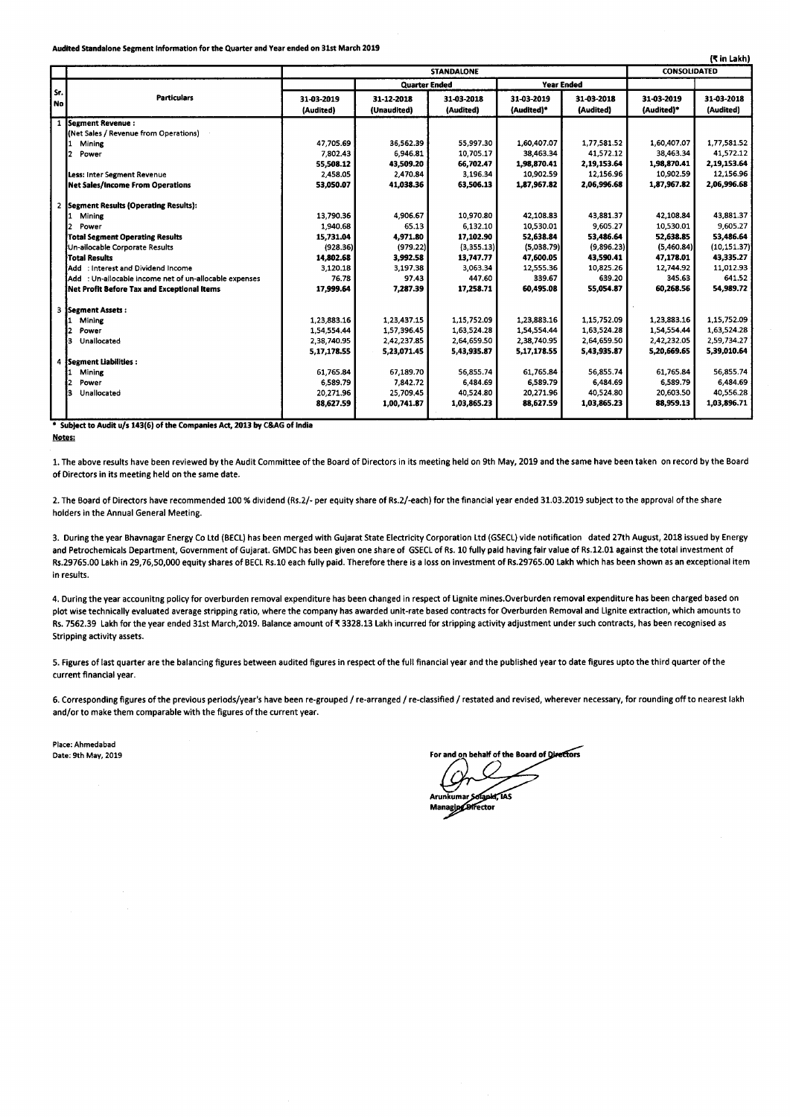Audited Standalone Segment Information for the Quarter and Year ended on 31st March 2019

|             |                                                        |                         |                                           |                         |                          |                         |                          | (K in Lakh)             |
|-------------|--------------------------------------------------------|-------------------------|-------------------------------------------|-------------------------|--------------------------|-------------------------|--------------------------|-------------------------|
|             |                                                        | <b>STANDALONE</b>       |                                           |                         |                          |                         | CONSOLIDATED             |                         |
|             |                                                        |                         | <b>Quarter Ended</b><br><b>Year Ended</b> |                         |                          |                         |                          |                         |
| Sr.<br>  No | <b>Particulars</b>                                     | 31-03-2019<br>(Audited) | 31-12-2018<br>(Unaudited)                 | 31-03-2018<br>(Audited) | 31-03-2019<br>(Audited)* | 31-03-2018<br>(Audited) | 31-03-2019<br>(Audited)* | 31-03-2018<br>(Audited) |
| 1           | <b>ISegment Revenue:</b>                               |                         |                                           |                         |                          |                         |                          |                         |
|             | (Net Sales / Revenue from Operations)                  |                         |                                           |                         |                          |                         |                          |                         |
|             | Mining                                                 | 47,705.69               | 36.562.39                                 | 55,997.30               | 1,60,407.07              | 1,77,581.52             | 1,60,407.07              | 1,77,581.52             |
|             | 2<br>Power                                             | 7,802.43                | 6.946.81                                  | 10,705.17               | 38,463.34                | 41,572.12               | 38.463.34                | 41,572.12               |
|             |                                                        | 55,508.12               | 43,509.20                                 | 66,702.47               | 1,98,870.41              | 2,19,153.64             | 1,98,870.41              | 2,19,153.64             |
|             | Less: Inter Segment Revenue                            | 2,458.05                | 2,470.84                                  | 3,196.34                | 10,902.59                | 12,156.96               | 10,902.59                | 12,156.96               |
|             | <b>Net Sales/Income From Operations</b>                | 53,050.07               | 41,038.36                                 | 63,506.13               | 1,87,967.82              | 2,06,996.68             | 1,87,967.82              | 2,06,996.68             |
|             | 2 Segment Results (Operating Results):                 |                         |                                           |                         |                          |                         |                          |                         |
|             | Mining                                                 | 13,790.36               | 4,906.67                                  | 10,970.80               | 42.108.83                | 43,881.37               | 42.108.84                | 43,881.37               |
|             | Power                                                  | 1,940.68                | 65.13                                     | 6,132.10                | 10,530.01                | 9,605.27                | 10,530.01                | 9.605.27                |
|             | <b>Total Segment Operating Results</b>                 | 15,731.04               | 4,971.80                                  | 17,102.90               | 52,638.84                | 53,486.64               | 52,638.85                | 53,486.64               |
|             | Un-ailocable Corporate Results                         | (928.36)                | (979.22)                                  | (3,355.13)              | (5,038,79)               | (9,896.23)              | (5,460.84)               | (10, 151.37)            |
|             | Total Results                                          | 14,802.68               | 3,992.58                                  | 13,747.77               | 47,600.05                | 43,590.41               | 47,178.01                | 43,335.27               |
|             | Add : Interest and Dividend Income                     | 3,120.18                | 3.197.38                                  | 3,063.34                | 12.555.36                | 10,825.26               | 12,744.92                | 11,012.93               |
|             | Add : Un-allocable income net of un-allocable expenses | 76.78                   | 97.43                                     | 447.60                  | 339.67                   | 639.20                  | 345.63                   | 641.52                  |
|             | Net Profit Before Tax and Exceptional Items            | 17,999.64               | 7.287.39                                  | 17,258.71               | 60.495.08                | 55.054.87               | 60,268.56                | 54,989.72               |
| 3           | Segment Assets:                                        |                         |                                           |                         |                          |                         |                          |                         |
|             | Mining                                                 | 1,23,883.16             | 1,23,437.15                               | 1,15,752.09             | 1,23,883.16              | 1,15,752.09             | 1,23,883.16              | 1,15,752.09             |
|             | Power                                                  | 1,54,554.44             | 1.57.396.45                               | 1,63,524.28             | 1,54,554.44              | 1,63,524.28             | 1,54,554.44              | 1,63,524.28             |
|             | з<br>Unallocated                                       | 2,38,740.95             | 2.42.237.85                               | 2,64,659.50             | 2,38,740.95              | 2,64,659.50             | 2,42,232.05              | 2,59,734.27             |
|             |                                                        | 5,17,178.55             | 5,23,071.45                               | 5,43,935.87             | 5,17,178.55              | 5,43,935.87             | 5,20,669.65              | 5,39,010.64             |
|             | 4 Segment Liabilities:                                 |                         |                                           |                         |                          |                         |                          |                         |
|             | Mining                                                 | 61,765.84               | 67,189.70                                 | 56,855.74               | 61,765.84                | 56,855.74               | 61,765.84                | 56,855.74               |
|             | 2<br>Power                                             | 6,589.79                | 7,842.72                                  | 6,484.69                | 6,589.79                 | 6,484.69                | 6,589.79                 | 6,484.69                |
|             | з<br>Unallocated                                       | 20,271.96               | 25,709.45                                 | 40,524.80               | 20,271.96                | 40,524.80               | 20,603.50                | 40,556.28               |
|             |                                                        | 88,627.59               | 1,00,741.87                               | 1,03,865.23             | 88,627.59                | 1,03,865.23             | 88,959.13                | 1,03,896.71             |
|             |                                                        |                         |                                           |                         |                          |                         |                          |                         |

\* Subject to Audit u/s 143(6) of the Companies Act, 2013 by C&AG of India

#### Notes:

1. The above results have been reviewed by the Audit Committee of the Board of Directors in its meeting held on 9th May, 2019 and the same have been taken on record by the Board of Directors in its meeting held on the same date.

2. The Board of Directors have recommended 100 % dividend (Rs.2/- per equity share of Rs.2/-each) for the financial year ended 31.03.2019 subject to the approval of the share holders in the Annual General Meeting.

3. During the year Bhavnagar Energy Co Ltd (BECL) has been merged with Gujarat State Electricity Corporation Ltd (GSECL) vide notification dated 27th August, 2018 issued by Energy and Petrochemicals Department, Government of Gujarat. GMDC has been given one share of GSECL of Rs. 10 fully paid having fair value of Rs. 12.01 against the total investment of<br>Rs.29765.00 Lakh in 29,76,50,000 equity share in results.

4. During the year accounitng policy for overburden removal expenditure has been changed in respect of Lignite mines.Overburden removal expenditure has been charged based on plot wise technically evaluated average stripping ratio, where the company has awarded unit-rate based contracts for Overburden Removal and Lignite extraction, which amounts to Rs. 7562.39 Lakh for the year ended 31st March,2019. Balance amount of ₹3328.13 Lakh incurred for stripping activity adjustment under such contracts, has been recognised as Stripping activity assets.

5. Figures of last quarter are the balancing figures between audited fgures in respect of the full fnancial year and the published year to date fgures upto the third quarter of the current financial year.

6. Corresponding figures of the previous periods/year's have been re-grouped / re-arranged / re-classified / restated and revised, wherever necessary, for rounding off to nearest lakh and/or to make them comparable with the figures of the current year.

Place: Ahmedabad Date: 9th May, 2019

In behalf of the Board of Directors

pkr 145